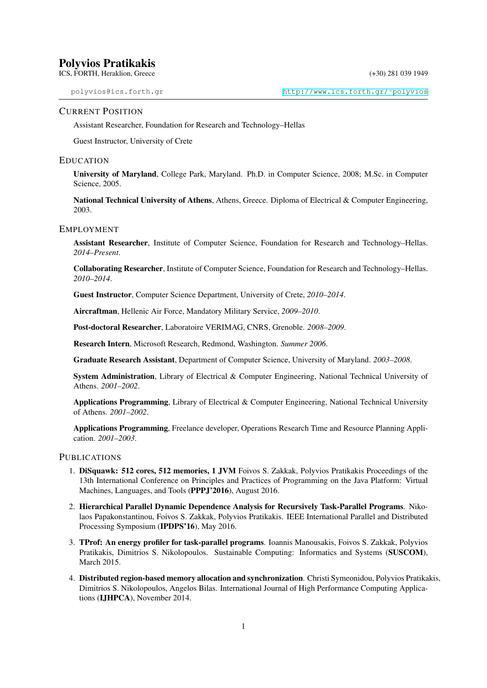#### CURRENT POSITION

Assistant Researcher, Foundation for Research and Technology–Hellas

Guest Instructor, University of Crete

#### EDUCATION

University of Maryland, College Park, Maryland. Ph.D. in Computer Science, 2008; M.Sc. in Computer Science, 2005.

National Technical University of Athens, Athens, Greece. Diploma of Electrical & Computer Engineering, 2003.

## EMPLOYMENT

Assistant Researcher, Institute of Computer Science, Foundation for Research and Technology–Hellas. *2014–Present*.

Collaborating Researcher, Institute of Computer Science, Foundation for Research and Technology–Hellas. *2010–2014*.

Guest Instructor, Computer Science Department, University of Crete, *2010–2014*.

Aircraftman, Hellenic Air Force, Mandatory Military Service, *2009–2010*.

Post-doctoral Researcher, Laboratoire VERIMAG, CNRS, Grenoble. *2008–2009*.

Research Intern, Microsoft Research, Redmond, Washington. *Summer 2006*.

Graduate Research Assistant, Department of Computer Science, University of Maryland. *2003–2008*.

System Administration, Library of Electrical & Computer Engineering, National Technical University of Athens. *2001–2002*.

Applications Programming, Library of Electrical & Computer Engineering, National Technical University of Athens. *2001–2002*.

Applications Programming, Freelance developer, Operations Research Time and Resource Planning Application. *2001–2003*.

# **PUBLICATIONS**

- 1. DiSquawk: 512 cores, 512 memories, 1 JVM Foivos S. Zakkak, Polyvios Pratikakis Proceedings of the 13th International Conference on Principles and Practices of Programming on the Java Platform: Virtual Machines, Languages, and Tools (PPPJ'2016), August 2016.
- 2. Hierarchical Parallel Dynamic Dependence Analysis for Recursively Task-Parallel Programs. Nikolaos Papakonstantinou, Foivos S. Zakkak, Polyvios Pratikakis. IEEE International Parallel and Distributed Processing Symposium (IPDPS'16), May 2016.
- 3. TProf: An energy profiler for task-parallel programs. Ioannis Manousakis, Foivos S. Zakkak, Polyvios Pratikakis, Dimitrios S. Nikolopoulos. Sustainable Computing: Informatics and Systems (SUSCOM), March 2015.
- 4. Distributed region-based memory allocation and synchronization. Christi Symeonidou, Polyvios Pratikakis, Dimitrios S. Nikolopoulos, Angelos Bilas. International Journal of High Performance Computing Applications (IJHPCA), November 2014.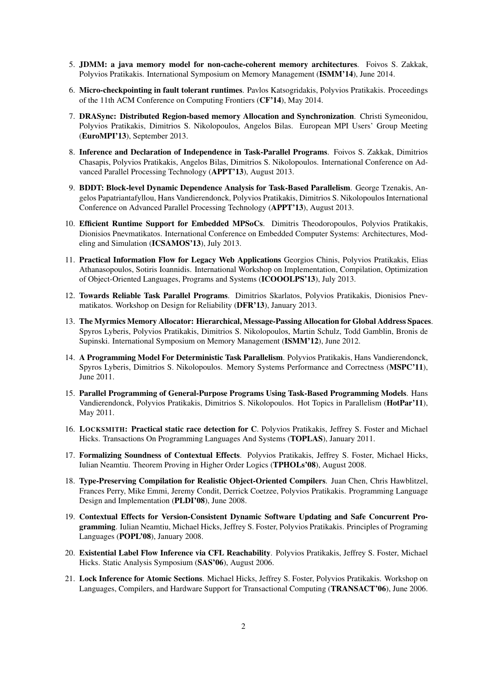- 5. JDMM: a java memory model for non-cache-coherent memory architectures. Foivos S. Zakkak, Polyvios Pratikakis. International Symposium on Memory Management (ISMM'14), June 2014.
- 6. Micro-checkpointing in fault tolerant runtimes. Pavlos Katsogridakis, Polyvios Pratikakis. Proceedings of the 11th ACM Conference on Computing Frontiers (CF'14), May 2014.
- 7. DRASync: Distributed Region-based memory Allocation and Synchronization. Christi Symeonidou, Polyvios Pratikakis, Dimitrios S. Nikolopoulos, Angelos Bilas. European MPI Users' Group Meeting (EuroMPI'13), September 2013.
- 8. Inference and Declaration of Independence in Task-Parallel Programs. Foivos S. Zakkak, Dimitrios Chasapis, Polyvios Pratikakis, Angelos Bilas, Dimitrios S. Nikolopoulos. International Conference on Advanced Parallel Processing Technology (APPT'13), August 2013.
- 9. BDDT: Block-level Dynamic Dependence Analysis for Task-Based Parallelism. George Tzenakis, Angelos Papatriantafyllou, Hans Vandierendonck, Polyvios Pratikakis, Dimitrios S. Nikolopoulos International Conference on Advanced Parallel Processing Technology (APPT'13), August 2013.
- 10. Efficient Runtime Support for Embedded MPSoCs. Dimitris Theodoropoulos, Polyvios Pratikakis, Dionisios Pnevmatikatos. International Conference on Embedded Computer Systems: Architectures, Modeling and Simulation (ICSAMOS'13), July 2013.
- 11. Practical Information Flow for Legacy Web Applications Georgios Chinis, Polyvios Pratikakis, Elias Athanasopoulos, Sotiris Ioannidis. International Workshop on Implementation, Compilation, Optimization of Object-Oriented Languages, Programs and Systems (ICOOOLPS'13), July 2013.
- 12. Towards Reliable Task Parallel Programs. Dimitrios Skarlatos, Polyvios Pratikakis, Dionisios Pnevmatikatos. Workshop on Design for Reliability (DFR'13), January 2013.
- 13. The Myrmics Memory Allocator: Hierarchical, Message-Passing Allocation for Global Address Spaces. Spyros Lyberis, Polyvios Pratikakis, Dimitrios S. Nikolopoulos, Martin Schulz, Todd Gamblin, Bronis de Supinski. International Symposium on Memory Management (ISMM'12), June 2012.
- 14. A Programming Model For Deterministic Task Parallelism. Polyvios Pratikakis, Hans Vandierendonck, Spyros Lyberis, Dimitrios S. Nikolopoulos. Memory Systems Performance and Correctness (MSPC'11), June 2011.
- 15. Parallel Programming of General-Purpose Programs Using Task-Based Programming Models. Hans Vandierendonck, Polyvios Pratikakis, Dimitrios S. Nikolopoulos. Hot Topics in Parallelism (HotPar'11), May 2011.
- 16. LOCKSMITH: Practical static race detection for C. Polyvios Pratikakis, Jeffrey S. Foster and Michael Hicks. Transactions On Programming Languages And Systems (TOPLAS), January 2011.
- 17. Formalizing Soundness of Contextual Effects. Polyvios Pratikakis, Jeffrey S. Foster, Michael Hicks, Iulian Neamtiu. Theorem Proving in Higher Order Logics (TPHOLs'08), August 2008.
- 18. Type-Preserving Compilation for Realistic Object-Oriented Compilers. Juan Chen, Chris Hawblitzel, Frances Perry, Mike Emmi, Jeremy Condit, Derrick Coetzee, Polyvios Pratikakis. Programming Language Design and Implementation (PLDI'08), June 2008.
- 19. Contextual Effects for Version-Consistent Dynamic Software Updating and Safe Concurrent Programming. Iulian Neamtiu, Michael Hicks, Jeffrey S. Foster, Polyvios Pratikakis. Principles of Programing Languages (POPL'08), January 2008.
- 20. Existential Label Flow Inference via CFL Reachability. Polyvios Pratikakis, Jeffrey S. Foster, Michael Hicks. Static Analysis Symposium (SAS'06), August 2006.
- 21. Lock Inference for Atomic Sections. Michael Hicks, Jeffrey S. Foster, Polyvios Pratikakis. Workshop on Languages, Compilers, and Hardware Support for Transactional Computing (TRANSACT'06), June 2006.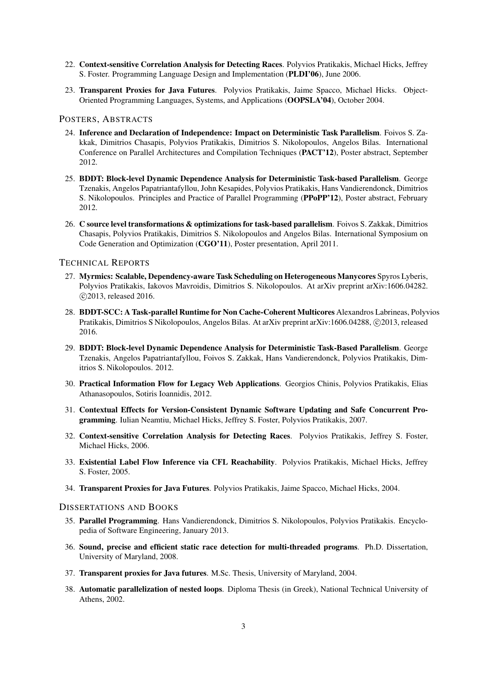- 22. Context-sensitive Correlation Analysis for Detecting Races. Polyvios Pratikakis, Michael Hicks, Jeffrey S. Foster. Programming Language Design and Implementation (PLDI'06), June 2006.
- 23. Transparent Proxies for Java Futures. Polyvios Pratikakis, Jaime Spacco, Michael Hicks. Object-Oriented Programming Languages, Systems, and Applications (OOPSLA'04), October 2004.

#### POSTERS, ABSTRACTS

- 24. Inference and Declaration of Independence: Impact on Deterministic Task Parallelism. Foivos S. Zakkak, Dimitrios Chasapis, Polyvios Pratikakis, Dimitrios S. Nikolopoulos, Angelos Bilas. International Conference on Parallel Architectures and Compilation Techniques (PACT'12), Poster abstract, September 2012.
- 25. BDDT: Block-level Dynamic Dependence Analysis for Deterministic Task-based Parallelism. George Tzenakis, Angelos Papatriantafyllou, John Kesapides, Polyvios Pratikakis, Hans Vandierendonck, Dimitrios S. Nikolopoulos. Principles and Practice of Parallel Programming (PPoPP'12), Poster abstract, February 2012.
- 26. C source level transformations & optimizations for task-based parallelism. Foivos S. Zakkak, Dimitrios Chasapis, Polyvios Pratikakis, Dimitrios S. Nikolopoulos and Angelos Bilas. International Symposium on Code Generation and Optimization (CGO'11), Poster presentation, April 2011.

# TECHNICAL REPORTS

- 27. Myrmics: Scalable, Dependency-aware Task Scheduling on Heterogeneous Manycores Spyros Lyberis, Polyvios Pratikakis, Iakovos Mavroidis, Dimitrios S. Nikolopoulos. At arXiv preprint arXiv:1606.04282. *⃝*c 2013, released 2016.
- 28. BDDT-SCC: A Task-parallel Runtime for Non Cache-Coherent Multicores Alexandros Labrineas, Polyvios Pratikakis, Dimitrios S Nikolopoulos, Angelos Bilas. At arXiv preprint arXiv:1606.04288,  $\odot$ 2013, released 2016.
- 29. BDDT: Block-level Dynamic Dependence Analysis for Deterministic Task-Based Parallelism. George Tzenakis, Angelos Papatriantafyllou, Foivos S. Zakkak, Hans Vandierendonck, Polyvios Pratikakis, Dimitrios S. Nikolopoulos. 2012.
- 30. Practical Information Flow for Legacy Web Applications. Georgios Chinis, Polyvios Pratikakis, Elias Athanasopoulos, Sotiris Ioannidis, 2012.
- 31. Contextual Effects for Version-Consistent Dynamic Software Updating and Safe Concurrent Programming. Iulian Neamtiu, Michael Hicks, Jeffrey S. Foster, Polyvios Pratikakis, 2007.
- 32. Context-sensitive Correlation Analysis for Detecting Races. Polyvios Pratikakis, Jeffrey S. Foster, Michael Hicks, 2006.
- 33. Existential Label Flow Inference via CFL Reachability. Polyvios Pratikakis, Michael Hicks, Jeffrey S. Foster, 2005.
- 34. Transparent Proxies for Java Futures. Polyvios Pratikakis, Jaime Spacco, Michael Hicks, 2004.

## DISSERTATIONS AND BOOKS

- 35. Parallel Programming. Hans Vandierendonck, Dimitrios S. Nikolopoulos, Polyvios Pratikakis. Encyclopedia of Software Engineering, January 2013.
- 36. Sound, precise and efficient static race detection for multi-threaded programs. Ph.D. Dissertation, University of Maryland, 2008.
- 37. Transparent proxies for Java futures. M.Sc. Thesis, University of Maryland, 2004.
- 38. Automatic parallelization of nested loops. Diploma Thesis (in Greek), National Technical University of Athens, 2002.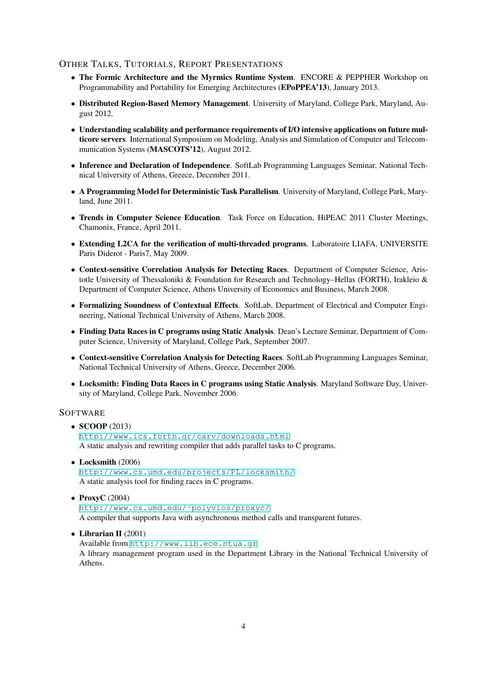# OTHER TALKS, TUTORIALS, REPORT PRESENTATIONS

- The Formic Architecture and the Myrmics Runtime System. ENCORE & PEPPHER Workshop on Programmability and Portability for Emerging Architectures (EPoPPEA'13), January 2013.
- Distributed Region-Based Memory Management. University of Maryland, College Park, Maryland, August 2012.
- Understanding scalability and performance requirements of I/O intensive applications on future multicore servers. International Symposium on Modeling, Analysis and Simulation of Computer and Telecommunication Systems (MASCOTS'12), August 2012.
- Inference and Declaration of Independence. SoftLab Programming Languages Seminar, National Technical University of Athens, Greece, December 2011.
- *•* A Programming Model for Deterministic Task Parallelism. University of Maryland, College Park, Maryland, June 2011.
- Trends in Computer Science Education. Task Force on Education, HiPEAC 2011 Cluster Meetings, Chamonix, France, April 2011.
- Extending L2CA for the verification of multi-threaded programs. Laboratoire LIAFA, UNIVERSITE Paris Diderot - Paris7, May 2009.
- *•* Context-sensitive Correlation Analysis for Detecting Races. Department of Computer Science, Aristotle University of Thessaloniki & Foundation for Research and Technology–Hellas (FORTH), Irakleio & Department of Computer Science, Athens University of Economics and Business, March 2008.
- Formalizing Soundness of Contextual Effects. SoftLab, Department of Electrical and Computer Engineering, National Technical University of Athens, March 2008.
- Finding Data Races in C programs using Static Analysis. Dean's Lecture Seminar, Department of Computer Science, University of Maryland, College Park, September 2007.
- Context-sensitive Correlation Analysis for Detecting Races. SoftLab Programming Languages Seminar, National Technical University of Athens, Greece, December 2006.
- Locksmith: Finding Data Races in C programs using Static Analysis. Maryland Software Day, University of Maryland, College Park, November 2006.

# **SOFTWARE**

# *•* SCOOP (2013)

http://www.ics.forth.gr/carv/downloads.html A static analysis and rewriting compiler that adds parallel tasks to C programs.

• Locksmith (2006)

[http://www.cs.umd.edu/projects/PL/locksmith/](http://www.ics.forth.gr/carv/downloads.html) A static analysis tool for finding races in C programs.

*•* ProxyC (2004)

[http://www.cs.umd.edu/˜polyvios/proxyc/](http://www.cs.umd.edu/projects/PL/locksmith/) A compiler that supports Java with asynchronous method calls and transparent futures.

*•* Librarian II (2001)

Available from http://www.lib.ece.ntua.gr [A library management program used in the Department L](http://www.cs.umd.edu/~polyvios/proxyc/)ibrary in the National Technical University of Athens.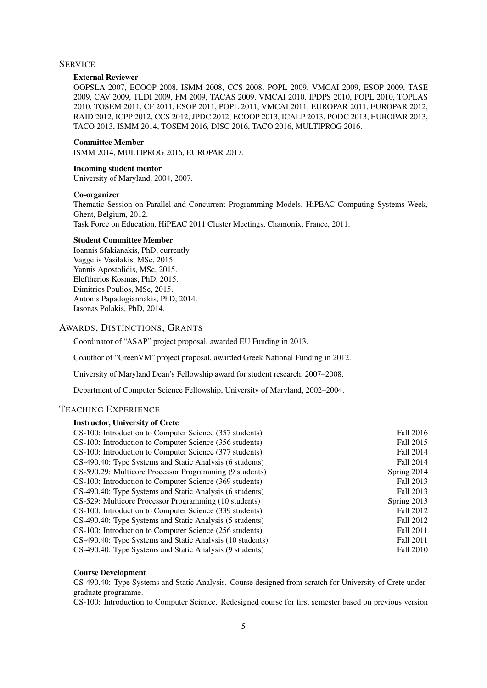### **SERVICE**

#### External Reviewer

OOPSLA 2007, ECOOP 2008, ISMM 2008, CCS 2008, POPL 2009, VMCAI 2009, ESOP 2009, TASE 2009, CAV 2009, TLDI 2009, FM 2009, TACAS 2009, VMCAI 2010, IPDPS 2010, POPL 2010, TOPLAS 2010, TOSEM 2011, CF 2011, ESOP 2011, POPL 2011, VMCAI 2011, EUROPAR 2011, EUROPAR 2012, RAID 2012, ICPP 2012, CCS 2012, JPDC 2012, ECOOP 2013, ICALP 2013, PODC 2013, EUROPAR 2013, TACO 2013, ISMM 2014, TOSEM 2016, DISC 2016, TACO 2016, MULTIPROG 2016.

#### Committee Member

ISMM 2014, MULTIPROG 2016, EUROPAR 2017.

#### Incoming student mentor

University of Maryland, 2004, 2007.

# Co-organizer

Thematic Session on Parallel and Concurrent Programming Models, HiPEAC Computing Systems Week, Ghent, Belgium, 2012.

Task Force on Education, HiPEAC 2011 Cluster Meetings, Chamonix, France, 2011.

## Student Committee Member

Ioannis Sfakianakis, PhD, currently. Vaggelis Vasilakis, MSc, 2015. Yannis Apostolidis, MSc, 2015. Eleftherios Kosmas, PhD, 2015. Dimitrios Poulios, MSc, 2015. Antonis Papadogiannakis, PhD, 2014. Iasonas Polakis, PhD, 2014.

# AWARDS, DISTINCTIONS, GRANTS

Coordinator of "ASAP" project proposal, awarded EU Funding in 2013.

Coauthor of "GreenVM" project proposal, awarded Greek National Funding in 2012.

University of Maryland Dean's Fellowship award for student research, 2007–2008.

Department of Computer Science Fellowship, University of Maryland, 2002–2004.

# TEACHING EXPERIENCE

#### Instructor, University of Crete

| Fall 2016   |
|-------------|
| Fall 2015   |
| Fall 2014   |
| Fall 2014   |
| Spring 2014 |
| Fall 2013   |
| Fall 2013   |
| Spring 2013 |
| Fall 2012   |
| Fall 2012   |
| Fall 2011   |
| Fall 2011   |
| Fall 2010   |
|             |

#### Course Development

CS-490.40: Type Systems and Static Analysis. Course designed from scratch for University of Crete undergraduate programme.

CS-100: Introduction to Computer Science. Redesigned course for first semester based on previous version